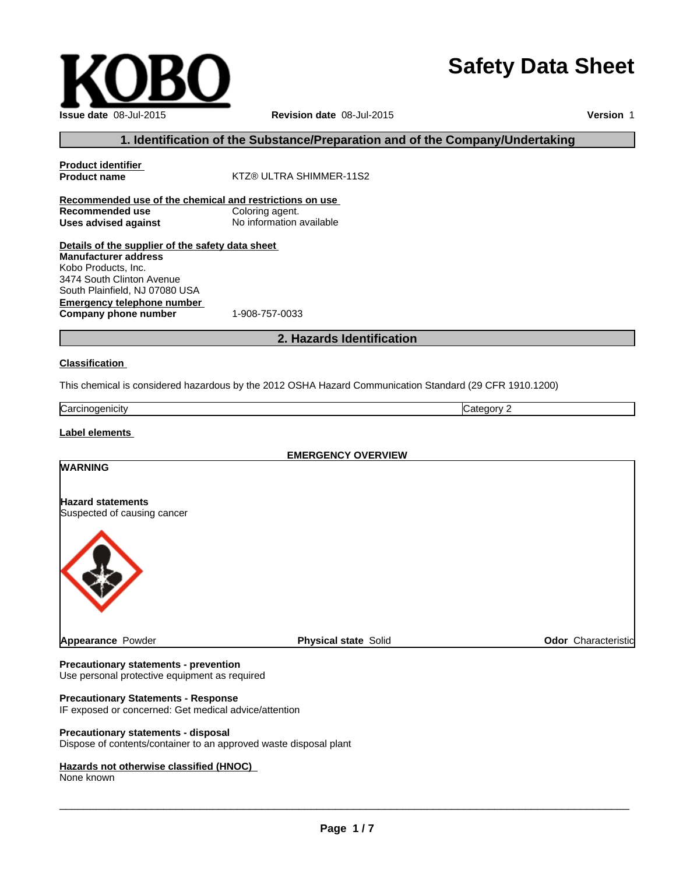# **Safety Data Sheet**

| <b>Issue date 08-Jul-2015</b> |
|-------------------------------|

**Revision date** 08-Jul-2015

**Version** 1

# **1. Identification of the Substance/Preparation and of the Company/Undertaking**

| <b>Product identifier</b>                               |                                                                                                         |                            |  |  |
|---------------------------------------------------------|---------------------------------------------------------------------------------------------------------|----------------------------|--|--|
| <b>Product name</b>                                     | KTZ® ULTRA SHIMMER-11S2                                                                                 |                            |  |  |
| Recommended use of the chemical and restrictions on use |                                                                                                         |                            |  |  |
| Recommended use                                         | Coloring agent.                                                                                         |                            |  |  |
| <b>Uses advised against</b>                             | No information available                                                                                |                            |  |  |
| Details of the supplier of the safety data sheet        |                                                                                                         |                            |  |  |
| <b>Manufacturer address</b>                             |                                                                                                         |                            |  |  |
| Kobo Products, Inc.                                     |                                                                                                         |                            |  |  |
| 3474 South Clinton Avenue                               |                                                                                                         |                            |  |  |
| South Plainfield, NJ 07080 USA                          |                                                                                                         |                            |  |  |
| <b>Emergency telephone number</b>                       |                                                                                                         |                            |  |  |
| Company phone number                                    | 1-908-757-0033                                                                                          |                            |  |  |
|                                                         | 2. Hazards Identification                                                                               |                            |  |  |
| <b>Classification</b>                                   |                                                                                                         |                            |  |  |
|                                                         |                                                                                                         |                            |  |  |
|                                                         | This chemical is considered hazardous by the 2012 OSHA Hazard Communication Standard (29 CFR 1910.1200) |                            |  |  |
| Carcinogenicity                                         |                                                                                                         | Category 2                 |  |  |
| <b>Label elements</b>                                   |                                                                                                         |                            |  |  |
|                                                         | <b>EMERGENCY OVERVIEW</b>                                                                               |                            |  |  |
| <b>WARNING</b>                                          |                                                                                                         |                            |  |  |
| <b>Hazard statements</b>                                |                                                                                                         |                            |  |  |
| Suspected of causing cancer                             |                                                                                                         |                            |  |  |
|                                                         |                                                                                                         |                            |  |  |
| <b>Appearance Powder</b>                                | <b>Physical state Solid</b>                                                                             | <b>Odor</b> Characteristic |  |  |

## **Precautionary statements - prevention**

Use personal protective equipment as required

## **Precautionary Statements - Response**

IF exposed or concerned: Get medical advice/attention

## **Precautionary statements - disposal**

Dispose of contents/container to an approved waste disposal plant

#### **Hazards not otherwise classified (HNOC)**

None known

 $\overline{\phantom{a}}$  ,  $\overline{\phantom{a}}$  ,  $\overline{\phantom{a}}$  ,  $\overline{\phantom{a}}$  ,  $\overline{\phantom{a}}$  ,  $\overline{\phantom{a}}$  ,  $\overline{\phantom{a}}$  ,  $\overline{\phantom{a}}$  ,  $\overline{\phantom{a}}$  ,  $\overline{\phantom{a}}$  ,  $\overline{\phantom{a}}$  ,  $\overline{\phantom{a}}$  ,  $\overline{\phantom{a}}$  ,  $\overline{\phantom{a}}$  ,  $\overline{\phantom{a}}$  ,  $\overline{\phantom{a}}$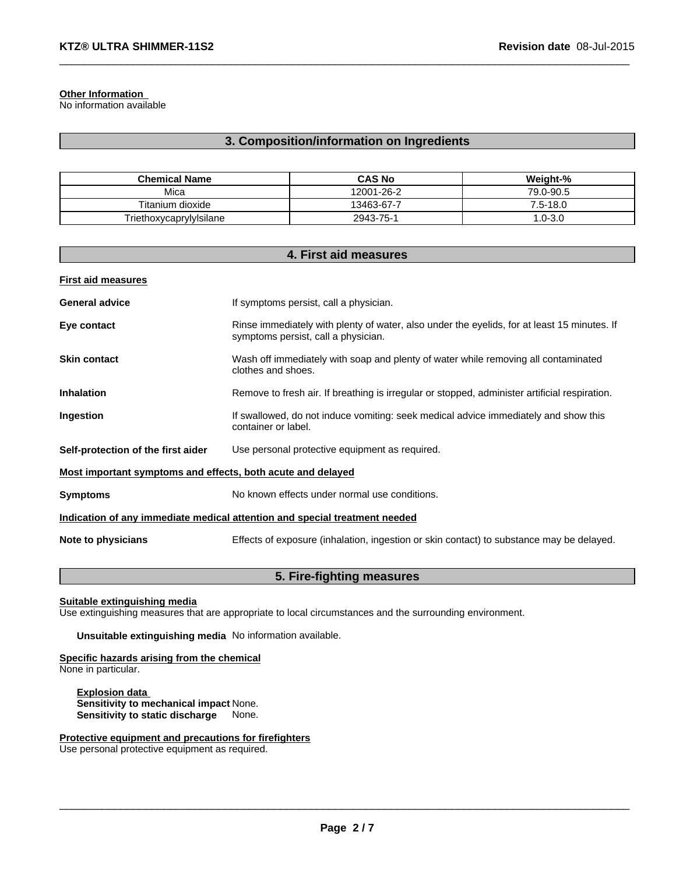## **Other Information**

No information available

## **3. Composition/information on Ingredients**

 $\_$  ,  $\_$  ,  $\_$  ,  $\_$  ,  $\_$  ,  $\_$  ,  $\_$  ,  $\_$  ,  $\_$  ,  $\_$  ,  $\_$  ,  $\_$  ,  $\_$  ,  $\_$  ,  $\_$  ,  $\_$  ,  $\_$  ,  $\_$  ,  $\_$  ,  $\_$  ,  $\_$  ,  $\_$  ,  $\_$  ,  $\_$  ,  $\_$  ,  $\_$  ,  $\_$  ,  $\_$  ,  $\_$  ,  $\_$  ,  $\_$  ,  $\_$  ,  $\_$  ,  $\_$  ,  $\_$  ,  $\_$  ,  $\_$  ,

| <b>Chemical Name</b>    | <b>CAS No</b> | Weight-%   |
|-------------------------|---------------|------------|
| Mica                    | 12001-26-2    | 79.0-90.5  |
| Titanium dioxide        | 13463-67-7    | 5--18.0.   |
| Triethoxycaprylylsilane | 2943-75-1     | $.0 - 3.0$ |

|                                                             | 4. First aid measures                                                                                                              |
|-------------------------------------------------------------|------------------------------------------------------------------------------------------------------------------------------------|
| <b>First aid measures</b>                                   |                                                                                                                                    |
| <b>General advice</b>                                       | If symptoms persist, call a physician.                                                                                             |
| Eye contact                                                 | Rinse immediately with plenty of water, also under the eyelids, for at least 15 minutes. If<br>symptoms persist, call a physician. |
| <b>Skin contact</b>                                         | Wash off immediately with soap and plenty of water while removing all contaminated<br>clothes and shoes.                           |
| <b>Inhalation</b>                                           | Remove to fresh air. If breathing is irregular or stopped, administer artificial respiration.                                      |
| Ingestion                                                   | If swallowed, do not induce vomiting: seek medical advice immediately and show this<br>container or label.                         |
| Self-protection of the first aider                          | Use personal protective equipment as required.                                                                                     |
| Most important symptoms and effects, both acute and delayed |                                                                                                                                    |
| <b>Symptoms</b>                                             | No known effects under normal use conditions.                                                                                      |
|                                                             | Indication of any immediate medical attention and special treatment needed                                                         |
| Note to physicians                                          | Effects of exposure (inhalation, ingestion or skin contact) to substance may be delayed.                                           |

## **5. Fire-fighting measures**

## **Suitable extinguishing media**

Use extinguishing measures that are appropriate to local circumstances and the surrounding environment.

**Unsuitable extinguishing media** No information available.

#### **Specific hazards arising from the chemical** None in particular.

**Explosion data Sensitivity to mechanical impact** None. **Sensitivity to static discharge** None.

#### **Protective equipment and precautions for firefighters** Use personal protective equipment as required.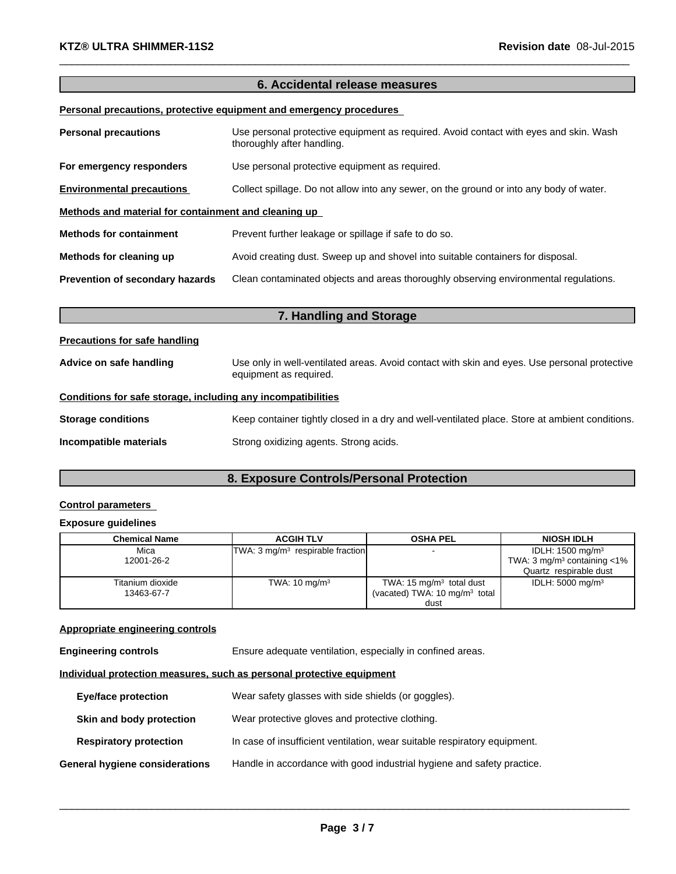# **6. Accidental release measures**

 $\_$  ,  $\_$  ,  $\_$  ,  $\_$  ,  $\_$  ,  $\_$  ,  $\_$  ,  $\_$  ,  $\_$  ,  $\_$  ,  $\_$  ,  $\_$  ,  $\_$  ,  $\_$  ,  $\_$  ,  $\_$  ,  $\_$  ,  $\_$  ,  $\_$  ,  $\_$  ,  $\_$  ,  $\_$  ,  $\_$  ,  $\_$  ,  $\_$  ,  $\_$  ,  $\_$  ,  $\_$  ,  $\_$  ,  $\_$  ,  $\_$  ,  $\_$  ,  $\_$  ,  $\_$  ,  $\_$  ,  $\_$  ,  $\_$  ,

## **Personal precautions, protective equipment and emergency procedures**

| <b>Personal precautions</b>                          | Use personal protective equipment as required. Avoid contact with eyes and skin. Wash<br>thoroughly after handling. |  |
|------------------------------------------------------|---------------------------------------------------------------------------------------------------------------------|--|
| For emergency responders                             | Use personal protective equipment as required.                                                                      |  |
| <b>Environmental precautions</b>                     | Collect spillage. Do not allow into any sewer, on the ground or into any body of water.                             |  |
| Methods and material for containment and cleaning up |                                                                                                                     |  |
| <b>Methods for containment</b>                       | Prevent further leakage or spillage if safe to do so.                                                               |  |
| Methods for cleaning up                              | Avoid creating dust. Sweep up and shovel into suitable containers for disposal.                                     |  |
| Prevention of secondary hazards                      | Clean contaminated objects and areas thoroughly observing environmental regulations.                                |  |

| 7. Handling and Storage                                      |                                                                                                                        |  |
|--------------------------------------------------------------|------------------------------------------------------------------------------------------------------------------------|--|
| <b>Precautions for safe handling</b>                         |                                                                                                                        |  |
| Advice on safe handling                                      | Use only in well-ventilated areas. Avoid contact with skin and eyes. Use personal protective<br>equipment as required. |  |
| Conditions for safe storage, including any incompatibilities |                                                                                                                        |  |
| <b>Storage conditions</b>                                    | Keep container tightly closed in a dry and well-ventilated place. Store at ambient conditions.                         |  |
| Incompatible materials                                       | Strong oxidizing agents. Strong acids.                                                                                 |  |

# **8. Exposure Controls/Personal Protection**

## **Control parameters**

# **Exposure guidelines**

| Chemical Name    | <b>ACGIH TLV</b>                             | <b>OSHA PEL</b>                          | <b>NIOSH IDLH</b>                          |
|------------------|----------------------------------------------|------------------------------------------|--------------------------------------------|
| Mica             | TWA: 3 mg/m <sup>3</sup> respirable fraction |                                          | IDLH: $1500 \text{ mg/m}^3$                |
| 12001-26-2       |                                              |                                          | TWA: 3 mg/m <sup>3</sup> containing $<$ 1% |
|                  |                                              |                                          | Quartz respirable dust                     |
| Titanium dioxide | TWA: $10 \text{ mg/m}^3$                     | TWA: 15 $mg/m3$ total dust               | IDLH: $5000 \text{ mg/m}^3$                |
| 13463-67-7       |                                              | (vacated) TWA: $10 \text{ mg/m}^3$ total |                                            |
|                  |                                              | dust                                     |                                            |

## **Appropriate engineering controls**

**Engineering controls** Ensure adequate ventilation, especially in confined areas.

## **Individual protection measures, such as personal protective equipment**

| <b>Eye/face protection</b>     | Wear safety glasses with side shields (or goggles).                       |
|--------------------------------|---------------------------------------------------------------------------|
| Skin and body protection       | Wear protective gloves and protective clothing.                           |
| <b>Respiratory protection</b>  | In case of insufficient ventilation, wear suitable respiratory equipment. |
| General hygiene considerations | Handle in accordance with good industrial hygiene and safety practice.    |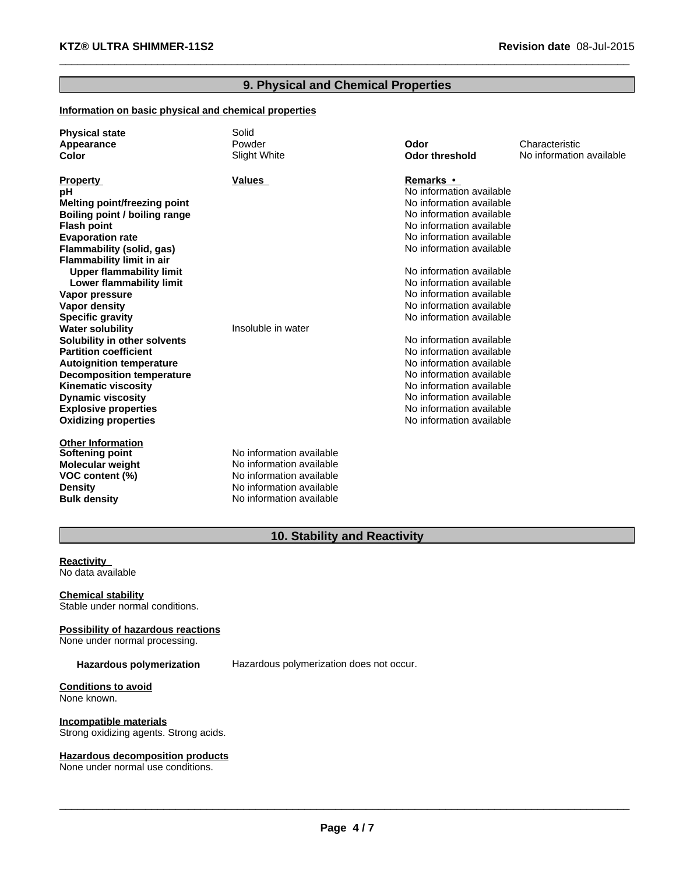# **9. Physical and Chemical Properties**

 $\_$  ,  $\_$  ,  $\_$  ,  $\_$  ,  $\_$  ,  $\_$  ,  $\_$  ,  $\_$  ,  $\_$  ,  $\_$  ,  $\_$  ,  $\_$  ,  $\_$  ,  $\_$  ,  $\_$  ,  $\_$  ,  $\_$  ,  $\_$  ,  $\_$  ,  $\_$  ,  $\_$  ,  $\_$  ,  $\_$  ,  $\_$  ,  $\_$  ,  $\_$  ,  $\_$  ,  $\_$  ,  $\_$  ,  $\_$  ,  $\_$  ,  $\_$  ,  $\_$  ,  $\_$  ,  $\_$  ,  $\_$  ,  $\_$  ,

## **Information on basic physical and chemical properties**

| <b>Physical state</b><br>Appearance<br>Color | Solid<br>Powder<br>Slight White | Odor<br>Odor threshold   | Characteristic<br>No information available |
|----------------------------------------------|---------------------------------|--------------------------|--------------------------------------------|
|                                              |                                 |                          |                                            |
| <b>Property</b>                              | Values                          | Remarks •                |                                            |
| pН                                           |                                 | No information available |                                            |
| Melting point/freezing point                 |                                 | No information available |                                            |
| Boiling point / boiling range                |                                 | No information available |                                            |
| <b>Flash point</b>                           |                                 | No information available |                                            |
| <b>Evaporation rate</b>                      |                                 | No information available |                                            |
| Flammability (solid, gas)                    |                                 | No information available |                                            |
| <b>Flammability limit in air</b>             |                                 |                          |                                            |
| <b>Upper flammability limit</b>              |                                 | No information available |                                            |
| Lower flammability limit                     |                                 | No information available |                                            |
| Vapor pressure                               |                                 | No information available |                                            |
| Vapor density                                |                                 | No information available |                                            |
| <b>Specific gravity</b>                      |                                 | No information available |                                            |
| <b>Water solubility</b>                      | Insoluble in water              |                          |                                            |
| Solubility in other solvents                 |                                 | No information available |                                            |
| <b>Partition coefficient</b>                 |                                 | No information available |                                            |
| <b>Autoignition temperature</b>              |                                 | No information available |                                            |
| <b>Decomposition temperature</b>             |                                 | No information available |                                            |
| <b>Kinematic viscosity</b>                   |                                 | No information available |                                            |
| <b>Dynamic viscosity</b>                     |                                 | No information available |                                            |
| <b>Explosive properties</b>                  |                                 | No information available |                                            |
| <b>Oxidizing properties</b>                  |                                 | No information available |                                            |
| <b>Other Information</b>                     |                                 |                          |                                            |
| <b>Softening point</b>                       | No information available        |                          |                                            |
| Molecular weight                             | No information available        |                          |                                            |
| VOC content (%)                              | No information available        |                          |                                            |
| <b>Density</b>                               | No information available        |                          |                                            |
| <b>Bulk density</b>                          | No information available        |                          |                                            |

# **10. Stability and Reactivity**

**Reactivity**  No data available

**Chemical stability** Stable under normal conditions.

**Possibility of hazardous reactions**

None under normal processing.

**Hazardous polymerization** Hazardous polymerization does not occur.

**Conditions to avoid** None known.

**Incompatible materials** Strong oxidizing agents. Strong acids.

## **Hazardous decomposition products**

None under normal use conditions.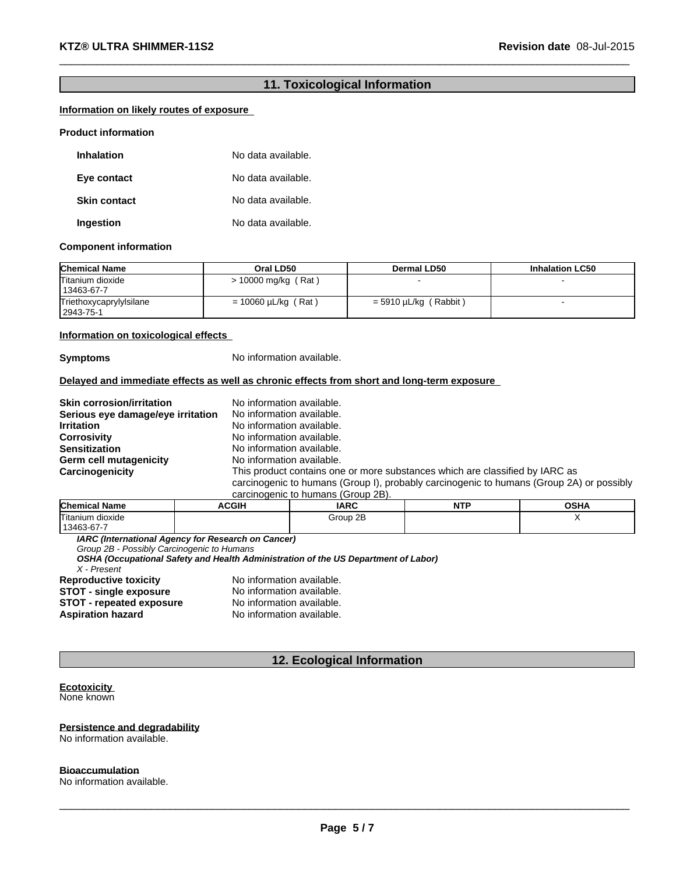# **11. Toxicological Information**

 $\_$  ,  $\_$  ,  $\_$  ,  $\_$  ,  $\_$  ,  $\_$  ,  $\_$  ,  $\_$  ,  $\_$  ,  $\_$  ,  $\_$  ,  $\_$  ,  $\_$  ,  $\_$  ,  $\_$  ,  $\_$  ,  $\_$  ,  $\_$  ,  $\_$  ,  $\_$  ,  $\_$  ,  $\_$  ,  $\_$  ,  $\_$  ,  $\_$  ,  $\_$  ,  $\_$  ,  $\_$  ,  $\_$  ,  $\_$  ,  $\_$  ,  $\_$  ,  $\_$  ,  $\_$  ,  $\_$  ,  $\_$  ,  $\_$  ,

## **Information on likely routes of exposure**

#### **Product information**

| <b>Inhalation</b>   | No data available. |
|---------------------|--------------------|
| Eye contact         | No data available. |
| <b>Skin contact</b> | No data available. |
| Ingestion           | No data available. |

#### **Component information**

| <b>Chemical Name</b>                 | Oral LD50                | Dermal LD50                | <b>Inhalation LC50</b> |
|--------------------------------------|--------------------------|----------------------------|------------------------|
| Titanium dioxide<br>13463-67-7       | $> 10000$ mg/kg (Rat)    |                            |                        |
| Triethoxycaprylylsilane<br>2943-75-1 | $= 10060 \mu L/kg$ (Rat) | (Rabbit)<br>= 5910 µL/kg ( |                        |

#### **Information on toxicological effects**

**Symptoms** No information available.

#### **Delayed and immediate effects as well as chronic effects from short and long-term exposure**

| <b>Skin corrosion/irritation</b>  | No information available.                                                                |
|-----------------------------------|------------------------------------------------------------------------------------------|
| Serious eye damage/eye irritation | No information available.                                                                |
| <b>Irritation</b>                 | No information available.                                                                |
| <b>Corrosivity</b>                | No information available.                                                                |
| <b>Sensitization</b>              | No information available.                                                                |
| <b>Germ cell mutagenicity</b>     | No information available.                                                                |
| Carcinogenicity                   | This product contains one or more substances which are classified by IARC as             |
|                                   | carcinogenic to humans (Group I), probably carcinogenic to humans (Group 2A) or possibly |
|                                   | carcinogenic to humans (Group 2B).                                                       |

| <b>Chemical Name</b>  | <b>ACGIH</b> | <b>IARC</b> | <b>NITD</b><br>N L | <b>OSHA</b> |
|-----------------------|--------------|-------------|--------------------|-------------|
| −<br>Titanium dioxide |              | Group 2B    |                    |             |
| $13463-67 -$          |              |             |                    |             |

*IARC (International Agency for Research on Cancer)*

*Group 2B - Possibly Carcinogenic to Humans*

*OSHA (Occupational Safety and Health Administration of the US Department of Labor)*

*X - Present*

**STOT - repeated exposure<br>Aspiration hazard** 

**Reproductive toxicity <br>
<b>STOT** - single exposure<br>
No information available. **STOT - single exposure** No information available.<br>**STOT - repeated exposure** No information available. **No information available.** 

## **12. Ecological Information**

#### **Ecotoxicity**  None known

# **Persistence and degradability**

No information available.

## **Bioaccumulation**

No information available.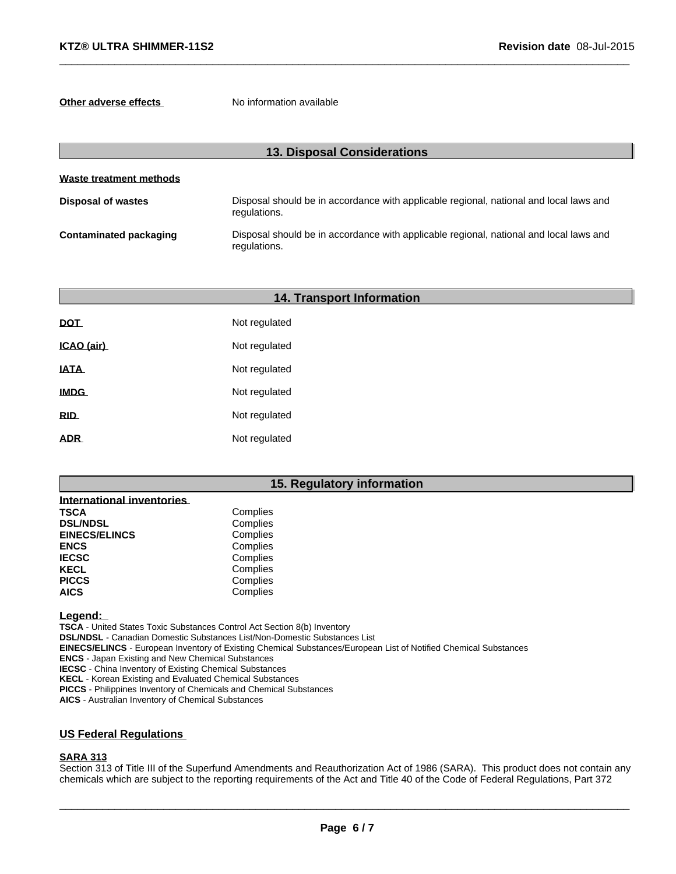**Other adverse effects** No information available

|                           | <b>13. Disposal Considerations</b>                                                                     |
|---------------------------|--------------------------------------------------------------------------------------------------------|
| Waste treatment methods   |                                                                                                        |
| <b>Disposal of wastes</b> | Disposal should be in accordance with applicable regional, national and local laws and<br>regulations. |
| Contaminated packaging    | Disposal should be in accordance with applicable regional, national and local laws and<br>regulations. |

 $\_$  ,  $\_$  ,  $\_$  ,  $\_$  ,  $\_$  ,  $\_$  ,  $\_$  ,  $\_$  ,  $\_$  ,  $\_$  ,  $\_$  ,  $\_$  ,  $\_$  ,  $\_$  ,  $\_$  ,  $\_$  ,  $\_$  ,  $\_$  ,  $\_$  ,  $\_$  ,  $\_$  ,  $\_$  ,  $\_$  ,  $\_$  ,  $\_$  ,  $\_$  ,  $\_$  ,  $\_$  ,  $\_$  ,  $\_$  ,  $\_$  ,  $\_$  ,  $\_$  ,  $\_$  ,  $\_$  ,  $\_$  ,  $\_$  ,

|                  | <b>14. Transport Information</b> |  |  |  |
|------------------|----------------------------------|--|--|--|
| <b>DOT</b>       | Not regulated                    |  |  |  |
| ICAO (air)       | Not regulated                    |  |  |  |
| <b>IATA</b>      | Not regulated                    |  |  |  |
| <b>IMDG</b>      | Not regulated                    |  |  |  |
| <b>RID</b>       | Not regulated                    |  |  |  |
| ADR <sub>-</sub> | Not regulated                    |  |  |  |

## **15. Regulatory information**

| International inventories |          |
|---------------------------|----------|
| <b>TSCA</b>               | Complies |
| <b>DSL/NDSL</b>           | Complies |
| <b>EINECS/ELINCS</b>      | Complies |
| <b>ENCS</b>               | Complies |
| <b>IECSC</b>              | Complies |
| <b>KECL</b>               | Complies |
| <b>PICCS</b>              | Complies |
| <b>AICS</b>               | Complies |

Legend:

**TSCA** - United States Toxic Substances Control Act Section 8(b) Inventory

**DSL/NDSL** - Canadian Domestic Substances List/Non-Domestic Substances List

**EINECS/ELINCS** - European Inventory of Existing Chemical Substances/European List of Notified Chemical Substances

**ENCS** - Japan Existing and New Chemical Substances

**IECSC** - China Inventory of Existing Chemical Substances

**KECL** - Korean Existing and Evaluated Chemical Substances

**PICCS** - Philippines Inventory of Chemicals and Chemical Substances

**AICS** - Australian Inventory of Chemical Substances

## **US Federal Regulations**

## **SARA 313**

Section 313 of Title III of the Superfund Amendments and Reauthorization Act of 1986 (SARA). This product does not contain any chemicals which are subject to the reporting requirements of the Act and Title 40 of the Code of Federal Regulations, Part 372